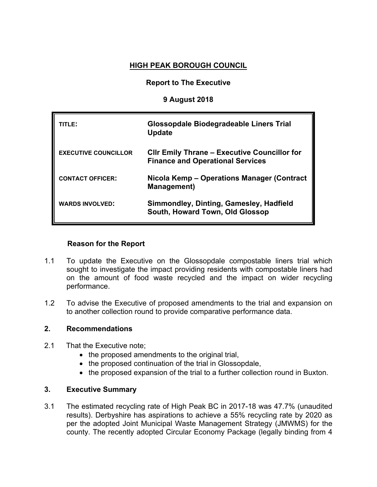# **HIGH PEAK BOROUGH COUNCIL**

## **Report to The Executive**

### **9 August 2018**

| TITLE:                      | Glossopdale Biodegradeable Liners Trial<br><b>Update</b>                                       |
|-----------------------------|------------------------------------------------------------------------------------------------|
| <b>EXECUTIVE COUNCILLOR</b> | <b>CIIr Emily Thrane – Executive Councillor for</b><br><b>Finance and Operational Services</b> |
| <b>CONTACT OFFICER:</b>     | Nicola Kemp – Operations Manager (Contract<br><b>Management</b> )                              |
| <b>WARDS INVOLVED:</b>      | Simmondley, Dinting, Gamesley, Hadfield<br>South, Howard Town, Old Glossop                     |

### **Reason for the Report**

- 1.1 To update the Executive on the Glossopdale compostable liners trial which sought to investigate the impact providing residents with compostable liners had on the amount of food waste recycled and the impact on wider recycling performance.
- 1.2 To advise the Executive of proposed amendments to the trial and expansion on to another collection round to provide comparative performance data.

### **2. Recommendations**

- 2.1 That the Executive note;
	- the proposed amendments to the original trial,
	- the proposed continuation of the trial in Glossopdale,
	- the proposed expansion of the trial to a further collection round in Buxton.

## **3. Executive Summary**

3.1 The estimated recycling rate of High Peak BC in 2017-18 was 47.7% (unaudited results). Derbyshire has aspirations to achieve a 55% recycling rate by 2020 as per the adopted Joint Municipal Waste Management Strategy (JMWMS) for the county. The recently adopted Circular Economy Package (legally binding from 4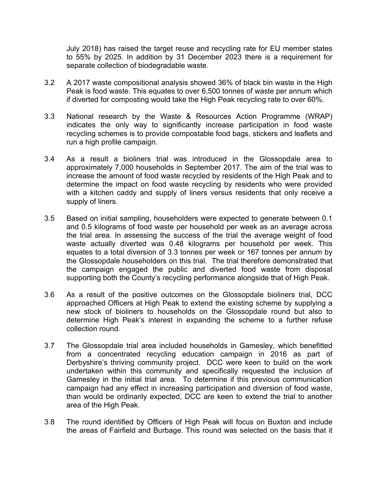July 2018) has raised the target reuse and recycling rate for EU member states to 55% by 2025. In addition by 31 December 2023 there is a requirement for separate collection of biodegradable waste.

- 3.2 A 2017 waste compositional analysis showed 36% of black bin waste in the High Peak is food waste. This equates to over 6,500 tonnes of waste per annum which if diverted for composting would take the High Peak recycling rate to over 60%.
- 3.3 National research by the Waste & Resources Action Programme (WRAP) indicates the only way to significantly increase participation in food waste recycling schemes is to provide compostable food bags, stickers and leaflets and run a high profile campaign.
- 3.4 As a result a bioliners trial was introduced in the Glossopdale area to approximately 7,000 households in September 2017. The aim of the trial was to increase the amount of food waste recycled by residents of the High Peak and to determine the impact on food waste recycling by residents who were provided with a kitchen caddy and supply of liners versus residents that only receive a supply of liners.
- 3.5 Based on initial sampling, householders were expected to generate between 0.1 and 0.5 kilograms of food waste per household per week as an average across the trial area. In assessing the success of the trial the average weight of food waste actually diverted was 0.48 kilograms per household per week. This equates to a total diversion of 3.3 tonnes per week or 167 tonnes per annum by the Glossopdale householders on this trial. The trial therefore demonstrated that the campaign engaged the public and diverted food waste from disposal supporting both the County's recycling performance alongside that of High Peak.
- 3.6 As a result of the positive outcomes on the Glossopdale bioliners trial, DCC approached Officers at High Peak to extend the existing scheme by supplying a new stock of bioliners to households on the Glossopdale round but also to determine High Peak's interest in expanding the scheme to a further refuse collection round.
- 3.7 The Glossopdale trial area included households in Gamesley, which benefitted from a concentrated recycling education campaign in 2016 as part of Derbyshire's thriving community project. DCC were keen to build on the work undertaken within this community and specifically requested the inclusion of Gamesley in the initial trial area. To determine if this previous communication campaign had any effect in increasing participation and diversion of food waste, than would be ordinarily expected, DCC are keen to extend the trial to another area of the High Peak.
- 3.8 The round identified by Officers of High Peak will focus on Buxton and include the areas of Fairfield and Burbage. This round was selected on the basis that it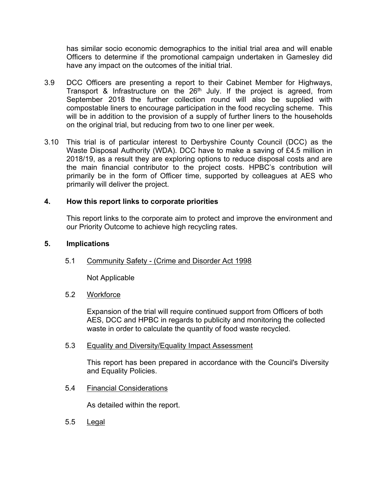has similar socio economic demographics to the initial trial area and will enable Officers to determine if the promotional campaign undertaken in Gamesley did have any impact on the outcomes of the initial trial.

- 3.9 DCC Officers are presenting a report to their Cabinet Member for Highways, Transport & Infrastructure on the 26<sup>th</sup> July. If the project is agreed, from September 2018 the further collection round will also be supplied with compostable liners to encourage participation in the food recycling scheme. This will be in addition to the provision of a supply of further liners to the households on the original trial, but reducing from two to one liner per week.
- 3.10 This trial is of particular interest to Derbyshire County Council (DCC) as the Waste Disposal Authority (WDA). DCC have to make a saving of £4.5 million in 2018/19, as a result they are exploring options to reduce disposal costs and are the main financial contributor to the project costs. HPBC's contribution will primarily be in the form of Officer time, supported by colleagues at AES who primarily will deliver the project.

## **4. How this report links to corporate priorities**

This report links to the corporate aim to protect and improve the environment and our Priority Outcome to achieve high recycling rates.

### **5. Implications**

5.1 Community Safety - (Crime and Disorder Act 1998

Not Applicable

#### 5.2 Workforce

Expansion of the trial will require continued support from Officers of both AES, DCC and HPBC in regards to publicity and monitoring the collected waste in order to calculate the quantity of food waste recycled.

#### 5.3 Equality and Diversity/Equality Impact Assessment

This report has been prepared in accordance with the Council's Diversity and Equality Policies.

5.4 Financial Considerations

As detailed within the report.

5.5 Legal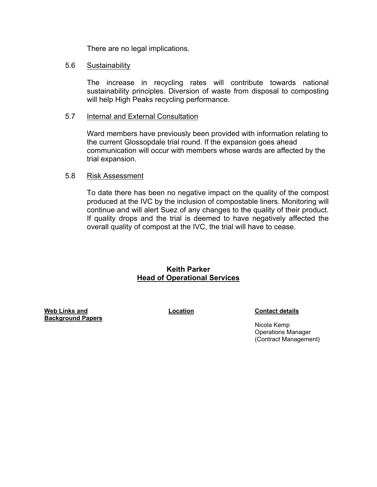There are no legal implications.

#### 5.6 Sustainability

The increase in recycling rates will contribute towards national sustainability principles. Diversion of waste from disposal to composting will help High Peaks recycling performance.

#### 5.7 Internal and External Consultation

Ward members have previously been provided with information relating to the current Glossopdale trial round. If the expansion goes ahead communication will occur with members whose wards are affected by the trial expansion.

#### 5.8 Risk Assessment

To date there has been no negative impact on the quality of the compost produced at the IVC by the inclusion of compostable liners. Monitoring will continue and will alert Suez of any changes to the quality of their product. If quality drops and the trial is deemed to have negatively affected the overall quality of compost at the IVC, the trial will have to cease.

### **Keith Parker Head of Operational Services**

**Web Links and Background Papers**

**Location Contact details**

Nicola Kemp Operations Manager (Contract Management)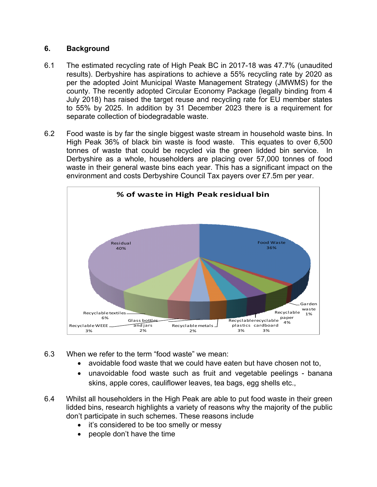## **6. Background**

- 6.1 The estimated recycling rate of High Peak BC in 2017-18 was 47.7% (unaudited results). Derbyshire has aspirations to achieve a 55% recycling rate by 2020 as per the adopted Joint Municipal Waste Management Strategy (JMWMS) for the county. The recently adopted Circular Economy Package (legally binding from 4 July 2018) has raised the target reuse and recycling rate for EU member states to 55% by 2025. In addition by 31 December 2023 there is a requirement for separate collection of biodegradable waste.
- 6.2 Food waste is by far the single biggest waste stream in household waste bins. In High Peak 36% of black bin waste is food waste. This equates to over 6,500 tonnes of waste that could be recycled via the green lidded bin service. In Derbyshire as a whole, householders are placing over 57,000 tonnes of food waste in their general waste bins each year. This has a significant impact on the environment and costs Derbyshire Council Tax payers over £7.5m per year.



- 6.3 When we refer to the term "food waste" we mean:
	- avoidable food waste that we could have eaten but have chosen not to,
	- unavoidable food waste such as fruit and vegetable peelings banana skins, apple cores, cauliflower leaves, tea bags, egg shells etc.,
- 6.4 Whilst all householders in the High Peak are able to put food waste in their green lidded bins, research highlights a variety of reasons why the majority of the public don't participate in such schemes. These reasons include
	- it's considered to be too smelly or messy
	- people don't have the time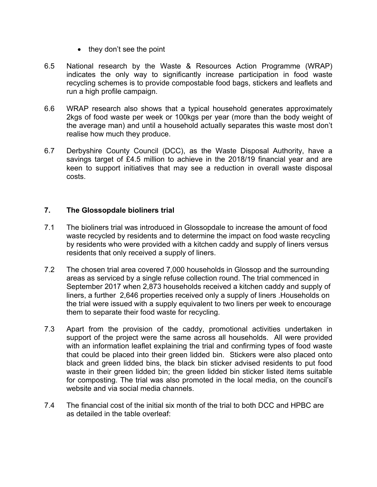- $\bullet$  they don't see the point
- 6.5 National research by the Waste & Resources Action Programme (WRAP) indicates the only way to significantly increase participation in food waste recycling schemes is to provide compostable food bags, stickers and leaflets and run a high profile campaign.
- 6.6 WRAP research also shows that a typical household generates approximately 2kgs of food waste per week or 100kgs per year (more than the body weight of the average man) and until a household actually separates this waste most don't realise how much they produce.
- 6.7 Derbyshire County Council (DCC), as the Waste Disposal Authority, have a savings target of £4.5 million to achieve in the 2018/19 financial year and are keen to support initiatives that may see a reduction in overall waste disposal costs.

## **7. The Glossopdale bioliners trial**

- 7.1 The bioliners trial was introduced in Glossopdale to increase the amount of food waste recycled by residents and to determine the impact on food waste recycling by residents who were provided with a kitchen caddy and supply of liners versus residents that only received a supply of liners.
- 7.2 The chosen trial area covered 7,000 households in Glossop and the surrounding areas as serviced by a single refuse collection round. The trial commenced in September 2017 when 2,873 households received a kitchen caddy and supply of liners, a further 2,646 properties received only a supply of liners .Households on the trial were issued with a supply equivalent to two liners per week to encourage them to separate their food waste for recycling.
- 7.3 Apart from the provision of the caddy, promotional activities undertaken in support of the project were the same across all households. All were provided with an information leaflet explaining the trial and confirming types of food waste that could be placed into their green lidded bin. Stickers were also placed onto black and green lidded bins, the black bin sticker advised residents to put food waste in their green lidded bin; the green lidded bin sticker listed items suitable for composting. The trial was also promoted in the local media, on the council's website and via social media channels.
- 7.4 The financial cost of the initial six month of the trial to both DCC and HPBC are as detailed in the table overleaf: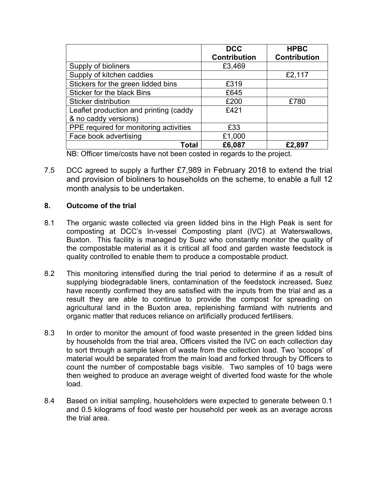|                                        | <b>DCC</b><br><b>Contribution</b> | <b>HPBC</b><br><b>Contribution</b> |
|----------------------------------------|-----------------------------------|------------------------------------|
| Supply of bioliners                    | £3,469                            |                                    |
| Supply of kitchen caddies              |                                   | £2,117                             |
| Stickers for the green lidded bins     | £319                              |                                    |
| Sticker for the black Bins             | £645                              |                                    |
| Sticker distribution                   | £200                              | £780                               |
| Leaflet production and printing (caddy | £421                              |                                    |
| & no caddy versions)                   |                                   |                                    |
| PPE required for monitoring activities | £33                               |                                    |
| Face book advertising                  | £1,000                            |                                    |
| Total                                  | £6,087                            | £2,897                             |

NB: Officer time/costs have not been costed in regards to the project.

7.5 DCC agreed to supply a further £7,989 in February 2018 to extend the trial and provision of bioliners to households on the scheme, to enable a full 12 month analysis to be undertaken.

## **8. Outcome of the trial**

- 8.1 The organic waste collected via green lidded bins in the High Peak is sent for composting at DCC's In-vessel Composting plant (IVC) at Waterswallows, Buxton. This facility is managed by Suez who constantly monitor the quality of the compostable material as it is critical all food and garden waste feedstock is quality controlled to enable them to produce a compostable product.
- 8.2 This monitoring intensified during the trial period to determine if as a result of supplying biodegradable liners, contamination of the feedstock increased**.** Suez have recently confirmed they are satisfied with the inputs from the trial and as a result they are able to continue to provide the compost for spreading on agricultural land in the Buxton area, replenishing farmland with nutrients and organic matter that reduces reliance on artificially produced fertilisers.
- 8.3 In order to monitor the amount of food waste presented in the green lidded bins by households from the trial area, Officers visited the IVC on each collection day to sort through a sample taken of waste from the collection load. Two 'scoops' of material would be separated from the main load and forked through by Officers to count the number of compostable bags visible. Two samples of 10 bags were then weighed to produce an average weight of diverted food waste for the whole load.
- 8.4 Based on initial sampling, householders were expected to generate between 0.1 and 0.5 kilograms of food waste per household per week as an average across the trial area.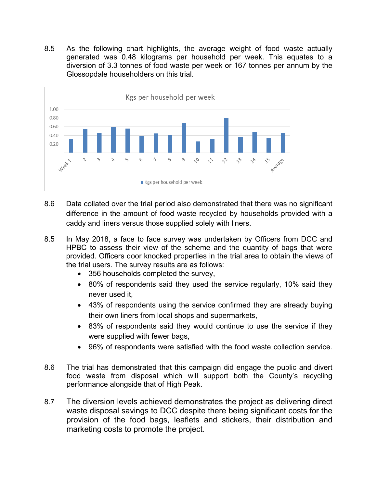8.5 As the following chart highlights, the average weight of food waste actually generated was 0.48 kilograms per household per week. This equates to a diversion of 3.3 tonnes of food waste per week or 167 tonnes per annum by the Glossopdale householders on this trial.



- 8.6 Data collated over the trial period also demonstrated that there was no significant difference in the amount of food waste recycled by households provided with a caddy and liners versus those supplied solely with liners.
- 8.5 In May 2018, a face to face survey was undertaken by Officers from DCC and HPBC to assess their view of the scheme and the quantity of bags that were provided. Officers door knocked properties in the trial area to obtain the views of the trial users. The survey results are as follows:
	- 356 households completed the survey,
	- 80% of respondents said they used the service regularly, 10% said they never used it,
	- 43% of respondents using the service confirmed they are already buying their own liners from local shops and supermarkets,
	- 83% of respondents said they would continue to use the service if they were supplied with fewer bags,
	- 96% of respondents were satisfied with the food waste collection service.
- 8.6 The trial has demonstrated that this campaign did engage the public and divert food waste from disposal which will support both the County's recycling performance alongside that of High Peak.
- 8.7 The diversion levels achieved demonstrates the project as delivering direct waste disposal savings to DCC despite there being significant costs for the provision of the food bags, leaflets and stickers, their distribution and marketing costs to promote the project.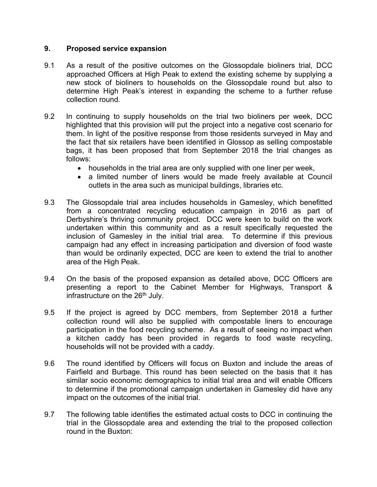## **9. Proposed service expansion**

- 9.1 As a result of the positive outcomes on the Glossopdale bioliners trial, DCC approached Officers at High Peak to extend the existing scheme by supplying a new stock of bioliners to households on the Glossopdale round but also to determine High Peak's interest in expanding the scheme to a further refuse collection round.
- 9.2 In continuing to supply households on the trial two bioliners per week, DCC highlighted that this provision will put the project into a negative cost scenario for them. In light of the positive response from those residents surveyed in May and the fact that six retailers have been identified in Glossop as selling compostable bags, it has been proposed that from September 2018 the trial changes as follows:
	- households in the trial area are only supplied with one liner per week,
	- a limited number of liners would be made freely available at Council outlets in the area such as municipal buildings, libraries etc.
- 9.3 The Glossopdale trial area includes households in Gamesley, which benefitted from a concentrated recycling education campaign in 2016 as part of Derbyshire's thriving community project. DCC were keen to build on the work undertaken within this community and as a result specifically requested the inclusion of Gamesley in the initial trial area. To determine if this previous campaign had any effect in increasing participation and diversion of food waste than would be ordinarily expected, DCC are keen to extend the trial to another area of the High Peak.
- 9.4 On the basis of the proposed expansion as detailed above, DCC Officers are presenting a report to the Cabinet Member for Highways, Transport & infrastructure on the 26<sup>th</sup> July.
- 9.5 If the project is agreed by DCC members, from September 2018 a further collection round will also be supplied with compostable liners to encourage participation in the food recycling scheme. As a result of seeing no impact when a kitchen caddy has been provided in regards to food waste recycling, households will not be provided with a caddy.
- 9.6 The round identified by Officers will focus on Buxton and include the areas of Fairfield and Burbage. This round has been selected on the basis that it has similar socio economic demographics to initial trial area and will enable Officers to determine if the promotional campaign undertaken in Gamesley did have any impact on the outcomes of the initial trial.
- 9.7 The following table identifies the estimated actual costs to DCC in continuing the trial in the Glossopdale area and extending the trial to the proposed collection round in the Buxton: